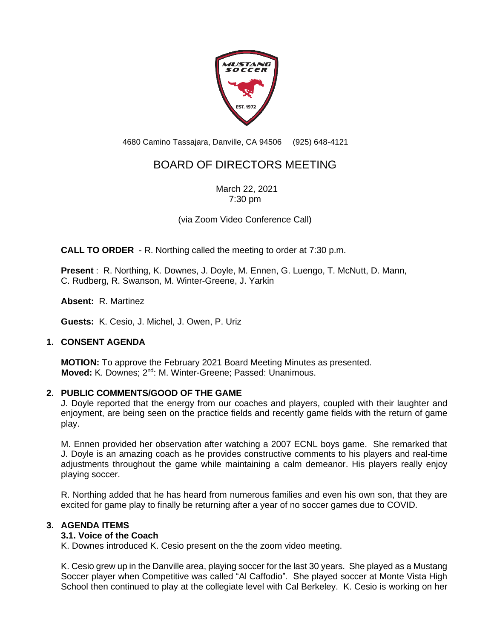

4680 Camino Tassajara, Danville, CA 94506 (925) 648-4121

# BOARD OF DIRECTORS MEETING

March 22, 2021 7:30 pm

(via Zoom Video Conference Call)

**CALL TO ORDER** - R. Northing called the meeting to order at 7:30 p.m.

**Present** : R. Northing, K. Downes, J. Doyle, M. Ennen, G. Luengo, T. McNutt, D. Mann, C. Rudberg, R. Swanson, M. Winter-Greene, J. Yarkin

**Absent:** R. Martinez

**Guests:** K. Cesio, J. Michel, J. Owen, P. Uriz

#### **1. CONSENT AGENDA**

**MOTION:** To approve the February 2021 Board Meeting Minutes as presented. **Moved:** K. Downes; 2<sup>nd</sup>: M. Winter-Greene; Passed: Unanimous.

#### **2. PUBLIC COMMENTS/GOOD OF THE GAME**

J. Doyle reported that the energy from our coaches and players, coupled with their laughter and enjoyment, are being seen on the practice fields and recently game fields with the return of game play.

M. Ennen provided her observation after watching a 2007 ECNL boys game. She remarked that J. Doyle is an amazing coach as he provides constructive comments to his players and real-time adjustments throughout the game while maintaining a calm demeanor. His players really enjoy playing soccer.

R. Northing added that he has heard from numerous families and even his own son, that they are excited for game play to finally be returning after a year of no soccer games due to COVID.

# **3. AGENDA ITEMS**

### **3.1. Voice of the Coach**

K. Downes introduced K. Cesio present on the the zoom video meeting.

K. Cesio grew up in the Danville area, playing soccer for the last 30 years. She played as a Mustang Soccer player when Competitive was called "Al Caffodio". She played soccer at Monte Vista High School then continued to play at the collegiate level with Cal Berkeley. K. Cesio is working on her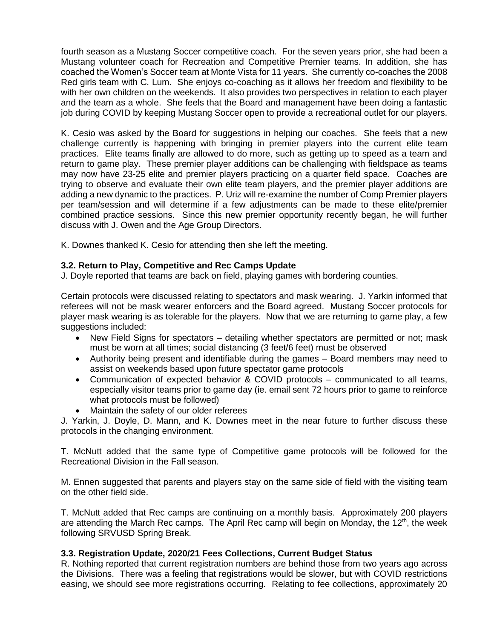fourth season as a Mustang Soccer competitive coach. For the seven years prior, she had been a Mustang volunteer coach for Recreation and Competitive Premier teams. In addition, she has coached the Women's Soccer team at Monte Vista for 11 years. She currently co-coaches the 2008 Red girls team with C. Lum. She enjoys co-coaching as it allows her freedom and flexibility to be with her own children on the weekends. It also provides two perspectives in relation to each player and the team as a whole. She feels that the Board and management have been doing a fantastic job during COVID by keeping Mustang Soccer open to provide a recreational outlet for our players.

K. Cesio was asked by the Board for suggestions in helping our coaches. She feels that a new challenge currently is happening with bringing in premier players into the current elite team practices. Elite teams finally are allowed to do more, such as getting up to speed as a team and return to game play. These premier player additions can be challenging with fieldspace as teams may now have 23-25 elite and premier players practicing on a quarter field space. Coaches are trying to observe and evaluate their own elite team players, and the premier player additions are adding a new dynamic to the practices. P. Uriz will re-examine the number of Comp Premier players per team/session and will determine if a few adjustments can be made to these elite/premier combined practice sessions. Since this new premier opportunity recently began, he will further discuss with J. Owen and the Age Group Directors.

K. Downes thanked K. Cesio for attending then she left the meeting.

# **3.2. Return to Play, Competitive and Rec Camps Update**

J. Doyle reported that teams are back on field, playing games with bordering counties.

Certain protocols were discussed relating to spectators and mask wearing. J. Yarkin informed that referees will not be mask wearer enforcers and the Board agreed. Mustang Soccer protocols for player mask wearing is as tolerable for the players. Now that we are returning to game play, a few suggestions included:

- New Field Signs for spectators detailing whether spectators are permitted or not; mask must be worn at all times; social distancing (3 feet/6 feet) must be observed
- Authority being present and identifiable during the games Board members may need to assist on weekends based upon future spectator game protocols
- Communication of expected behavior & COVID protocols communicated to all teams, especially visitor teams prior to game day (ie. email sent 72 hours prior to game to reinforce what protocols must be followed)
- Maintain the safety of our older referees

J. Yarkin, J. Doyle, D. Mann, and K. Downes meet in the near future to further discuss these protocols in the changing environment.

T. McNutt added that the same type of Competitive game protocols will be followed for the Recreational Division in the Fall season.

M. Ennen suggested that parents and players stay on the same side of field with the visiting team on the other field side.

T. McNutt added that Rec camps are continuing on a monthly basis. Approximately 200 players are attending the March Rec camps. The April Rec camp will begin on Monday, the 12<sup>th</sup>, the week following SRVUSD Spring Break.

#### **3.3. Registration Update, 2020/21 Fees Collections, Current Budget Status**

R. Nothing reported that current registration numbers are behind those from two years ago across the Divisions. There was a feeling that registrations would be slower, but with COVID restrictions easing, we should see more registrations occurring. Relating to fee collections, approximately 20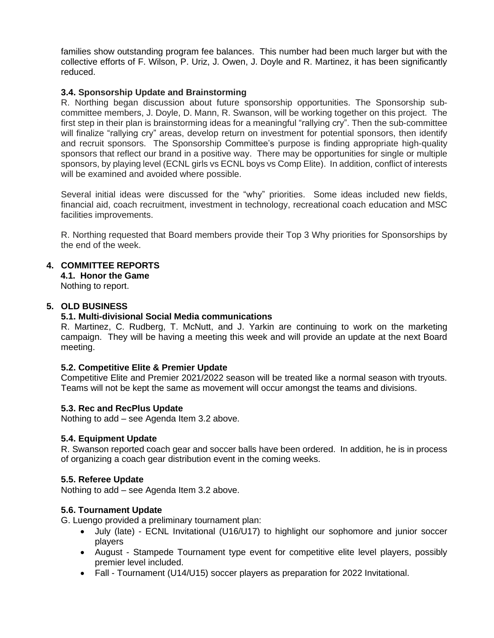families show outstanding program fee balances. This number had been much larger but with the collective efforts of F. Wilson, P. Uriz, J. Owen, J. Doyle and R. Martinez, it has been significantly reduced.

# **3.4. Sponsorship Update and Brainstorming**

R. Northing began discussion about future sponsorship opportunities. The Sponsorship subcommittee members, J. Doyle, D. Mann, R. Swanson, will be working together on this project. The first step in their plan is brainstorming ideas for a meaningful "rallying cry". Then the sub-committee will finalize "rallying cry" areas, develop return on investment for potential sponsors, then identify and recruit sponsors. The Sponsorship Committee's purpose is finding appropriate high-quality sponsors that reflect our brand in a positive way. There may be opportunities for single or multiple sponsors, by playing level (ECNL girls vs ECNL boys vs Comp Elite). In addition, conflict of interests will be examined and avoided where possible.

Several initial ideas were discussed for the "why" priorities. Some ideas included new fields, financial aid, coach recruitment, investment in technology, recreational coach education and MSC facilities improvements.

R. Northing requested that Board members provide their Top 3 Why priorities for Sponsorships by the end of the week.

# **4. COMMITTEE REPORTS**

**4.1. Honor the Game** Nothing to report.

# **5. OLD BUSINESS**

# **5.1. Multi-divisional Social Media communications**

R. Martinez, C. Rudberg, T. McNutt, and J. Yarkin are continuing to work on the marketing campaign. They will be having a meeting this week and will provide an update at the next Board meeting.

# **5.2. Competitive Elite & Premier Update**

Competitive Elite and Premier 2021/2022 season will be treated like a normal season with tryouts. Teams will not be kept the same as movement will occur amongst the teams and divisions.

# **5.3. Rec and RecPlus Update**

Nothing to add – see Agenda Item 3.2 above.

# **5.4. Equipment Update**

R. Swanson reported coach gear and soccer balls have been ordered. In addition, he is in process of organizing a coach gear distribution event in the coming weeks.

# **5.5. Referee Update**

Nothing to add – see Agenda Item 3.2 above.

# **5.6. Tournament Update**

G. Luengo provided a preliminary tournament plan:

- July (late) ECNL Invitational (U16/U17) to highlight our sophomore and junior soccer players
- August Stampede Tournament type event for competitive elite level players, possibly premier level included.
- Fall Tournament (U14/U15) soccer players as preparation for 2022 Invitational.